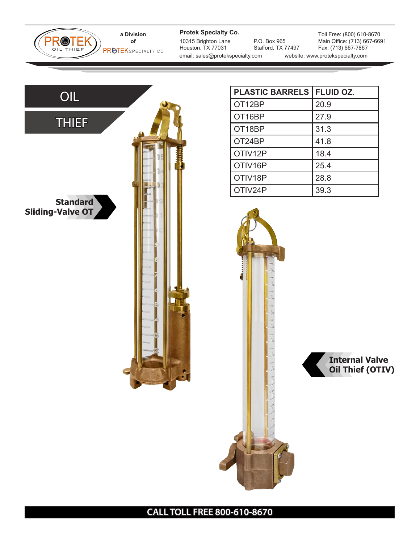**a Division of PROTEKSPECIALTY CO** 

PROTEK

**Protek Specialty Co.**

10315 Brighton Lane Houston, TX 77031 email: sales@protekspecialty.com website: www.protekspecialty.com

P.O. Box 965 Stafford, TX 77497

Toll Free: (800) 610-8670 Main Office: (713) 667-6691 Fax: (713) 667-7867



| <b>PLASTIC BARRELS</b> | <b>FLUID OZ.</b> |
|------------------------|------------------|
| OT12BP                 | 20.9             |
| OT16BP                 | 27.9             |
| OT18BP                 | 31.3             |
| OT24BP                 | 41.8             |
| OTIV12P                | 18.4             |
| OTIV16P                | 25.4             |
| OTIV18P                | 28.8             |
| OTIV24P                | 39.3             |



**CALL TOLL FREE 800-610-8670**